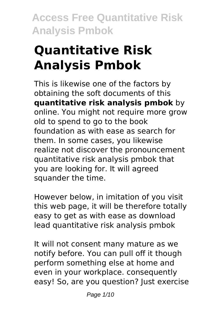# **Quantitative Risk Analysis Pmbok**

This is likewise one of the factors by obtaining the soft documents of this **quantitative risk analysis pmbok** by online. You might not require more grow old to spend to go to the book foundation as with ease as search for them. In some cases, you likewise realize not discover the pronouncement quantitative risk analysis pmbok that you are looking for. It will agreed squander the time.

However below, in imitation of you visit this web page, it will be therefore totally easy to get as with ease as download lead quantitative risk analysis pmbok

It will not consent many mature as we notify before. You can pull off it though perform something else at home and even in your workplace. consequently easy! So, are you question? Just exercise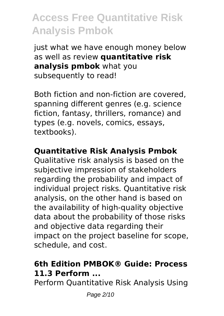just what we have enough money below as well as review **quantitative risk analysis pmbok** what you subsequently to read!

Both fiction and non-fiction are covered, spanning different genres (e.g. science fiction, fantasy, thrillers, romance) and types (e.g. novels, comics, essays, textbooks).

### **Quantitative Risk Analysis Pmbok**

Qualitative risk analysis is based on the subjective impression of stakeholders regarding the probability and impact of individual project risks. Quantitative risk analysis, on the other hand is based on the availability of high-quality objective data about the probability of those risks and objective data regarding their impact on the project baseline for scope, schedule, and cost.

### **6th Edition PMBOK® Guide: Process 11.3 Perform ...**

Perform Quantitative Risk Analysis Using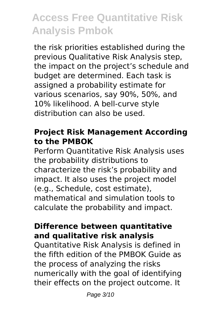the risk priorities established during the previous Qualitative Risk Analysis step, the impact on the project's schedule and budget are determined. Each task is assigned a probability estimate for various scenarios, say 90%, 50%, and 10% likelihood. A bell-curve style distribution can also be used.

#### **Project Risk Management According to the PMBOK**

Perform Quantitative Risk Analysis uses the probability distributions to characterize the risk's probability and impact. It also uses the project model (e.g., Schedule, cost estimate), mathematical and simulation tools to calculate the probability and impact.

#### **Difference between quantitative and qualitative risk analysis**

Quantitative Risk Analysis is defined in the fifth edition of the PMBOK Guide as the process of analyzing the risks numerically with the goal of identifying their effects on the project outcome. It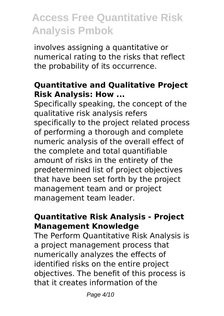involves assigning a quantitative or numerical rating to the risks that reflect the probability of its occurrence.

### **Quantitative and Qualitative Project Risk Analysis: How ...**

Specifically speaking, the concept of the qualitative risk analysis refers specifically to the project related process of performing a thorough and complete numeric analysis of the overall effect of the complete and total quantifiable amount of risks in the entirety of the predetermined list of project objectives that have been set forth by the project management team and or project management team leader.

### **Quantitative Risk Analysis - Project Management Knowledge**

The Perform Quantitative Risk Analysis is a project management process that numerically analyzes the effects of identified risks on the entire project objectives. The benefit of this process is that it creates information of the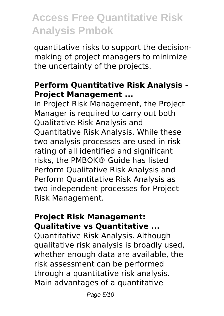quantitative risks to support the decisionmaking of project managers to minimize the uncertainty of the projects.

#### **Perform Quantitative Risk Analysis - Project Management ...**

In Project Risk Management, the Project Manager is required to carry out both Qualitative Risk Analysis and Quantitative Risk Analysis. While these two analysis processes are used in risk rating of all identified and significant risks, the PMBOK® Guide has listed Perform Qualitative Risk Analysis and Perform Quantitative Risk Analysis as two independent processes for Project Risk Management.

#### **Project Risk Management: Qualitative vs Quantitative ...**

Quantitative Risk Analysis. Although qualitative risk analysis is broadly used, whether enough data are available, the risk assessment can be performed through a quantitative risk analysis. Main advantages of a quantitative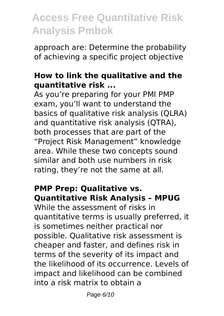approach are: Determine the probability of achieving a specific project objective

#### **How to link the qualitative and the quantitative risk ...**

As you're preparing for your PMI PMP exam, you'll want to understand the basics of qualitative risk analysis (QLRA) and quantitative risk analysis (QTRA), both processes that are part of the "Project Risk Management" knowledge area. While these two concepts sound similar and both use numbers in risk rating, they're not the same at all.

#### **PMP Prep: Qualitative vs. Quantitative Risk Analysis – MPUG**

While the assessment of risks in quantitative terms is usually preferred, it is sometimes neither practical nor possible. Qualitative risk assessment is cheaper and faster, and defines risk in terms of the severity of its impact and the likelihood of its occurrence. Levels of impact and likelihood can be combined into a risk matrix to obtain a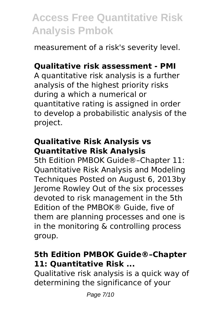measurement of a risk's severity level.

### **Qualitative risk assessment - PMI**

A quantitative risk analysis is a further analysis of the highest priority risks during a which a numerical or quantitative rating is assigned in order to develop a probabilistic analysis of the project.

### **Qualitative Risk Analysis vs Quantitative Risk Analysis**

5th Edition PMBOK Guide®–Chapter 11: Quantitative Risk Analysis and Modeling Techniques Posted on August 6, 2013by Jerome Rowley Out of the six processes devoted to risk management in the 5th Edition of the PMBOK® Guide, five of them are planning processes and one is in the monitoring & controlling process group.

### **5th Edition PMBOK Guide®–Chapter 11: Quantitative Risk ...**

Qualitative risk analysis is a quick way of determining the significance of your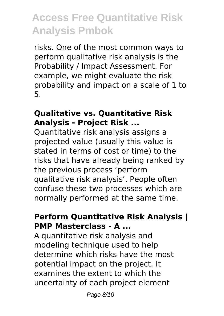risks. One of the most common ways to perform qualitative risk analysis is the Probability / Impact Assessment. For example, we might evaluate the risk probability and impact on a scale of 1 to 5.

#### **Qualitative vs. Quantitative Risk Analysis - Project Risk ...**

Quantitative risk analysis assigns a projected value (usually this value is stated in terms of cost or time) to the risks that have already being ranked by the previous process 'perform qualitative risk analysis'. People often confuse these two processes which are normally performed at the same time.

#### **Perform Quantitative Risk Analysis | PMP Masterclass - A ...**

A quantitative risk analysis and modeling technique used to help determine which risks have the most potential impact on the project. It examines the extent to which the uncertainty of each project element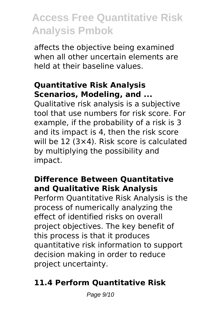affects the objective being examined when all other uncertain elements are held at their baseline values.

### **Quantitative Risk Analysis Scenarios, Modeling, and ...**

Qualitative risk analysis is a subjective tool that use numbers for risk score. For example, if the probability of a risk is 3 and its impact is 4, then the risk score will be 12 (3×4). Risk score is calculated by multiplying the possibility and impact.

### **Difference Between Quantitative and Qualitative Risk Analysis**

Perform Quantitative Risk Analysis is the process of numerically analyzing the effect of identified risks on overall project objectives. The key benefit of this process is that it produces quantitative risk information to support decision making in order to reduce project uncertainty.

## **11.4 Perform Quantitative Risk**

Page 9/10